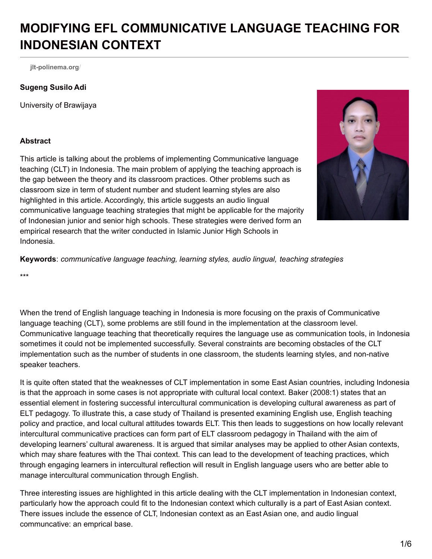# **MODIFYING EFL COMMUNICATIVE LANGUAGE TEACHING FOR INDONESIAN CONTEXT**

**[jlt-polinema.org](http://jlt-polinema.org/?p=197)**/

#### **Sugeng Susilo Adi**

University of Brawijaya

#### **Abstract**

This article is talking about the problems of implementing Communicative language teaching (CLT) in Indonesia. The main problem of applying the teaching approach is the gap between the theory and its classroom practices. Other problems such as classroom size in term of student number and student learning styles are also highlighted in this article. Accordingly, this article suggests an audio lingual communicative language teaching strategies that might be applicable for the majority of Indonesian junior and senior high schools. These strategies were derived form an empirical research that the writer conducted in Islamic Junior High Schools in Indonesia.



**Keywords**: *communicative language teaching, learning styles, audio lingual, teaching strategies*

\*\*\*

When the trend of English language teaching in Indonesia is more focusing on the praxis of Communicative language teaching (CLT), some problems are still found in the implementation at the classroom level. Communicative language teaching that theoretically requires the language use as communication tools, in Indonesia sometimes it could not be implemented successfully. Several constraints are becoming obstacles of the CLT implementation such as the number of students in one classroom, the students learning styles, and non-native speaker teachers.

It is quite often stated that the weaknesses of CLT implementation in some East Asian countries, including Indonesia is that the approach in some cases is not appropriate with cultural local context. Baker (2008:1) states that an essential element in fostering successful intercultural communication is developing cultural awareness as part of ELT pedagogy. To illustrate this, a case study of Thailand is presented examining English use, English teaching policy and practice, and local cultural attitudes towards ELT. This then leads to suggestions on how locally relevant intercultural communicative practices can form part of ELT classroom pedagogy in Thailand with the aim of developing learners' cultural awareness. It is argued that similar analyses may be applied to other Asian contexts, which may share features with the Thai context. This can lead to the development of teaching practices, which through engaging learners in intercultural reflection will result in English language users who are better able to manage intercultural communication through English.

Three interesting issues are highlighted in this article dealing with the CLT implementation in Indonesian context, particularly how the approach could fit to the Indonesian context which culturally is a part of East Asian context. There issues include the essence of CLT, Indonesian context as an East Asian one, and audio lingual communcative: an emprical base.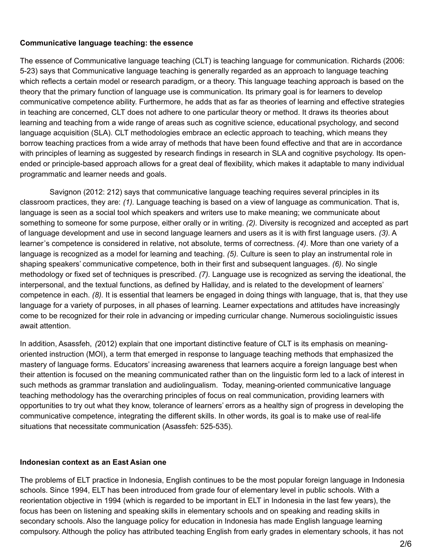#### **Communicative language teaching: the essence**

The essence of Communicative language teaching (CLT) is teaching language for communication. Richards (2006: 5-23) says that Communicative language teaching is generally regarded as an approach to language teaching which reflects a certain model or research paradigm, or a theory. This language teaching approach is based on the theory that the primary function of language use is communication. Its primary goal is for learners to develop communicative competence ability. Furthermore, he adds that as far as theories of learning and effective strategies in teaching are concerned, CLT does not adhere to one particular theory or method. It draws its theories about learning and teaching from a wide range of areas such as cognitive science, educational psychology, and second language acquisition (SLA). CLT methodologies embrace an eclectic approach to teaching, which means they borrow teaching practices from a wide array of methods that have been found effective and that are in accordance with principles of learning as suggested by research findings in research in SLA and cognitive psychology. Its openended or principle-based approach allows for a great deal of flexibility, which makes it adaptable to many individual programmatic and learner needs and goals.

Savignon (2012: 212) says that communicative language teaching requires several principles in its classroom practices, they are: *(1).* Language teaching is based on a view of language as communication. That is, language is seen as a social tool which speakers and writers use to make meaning; we communicate about something to someone for some purpose, either orally or in writing. *(2).* Diversity is recognized and accepted as part of language development and use in second language learners and users as it is with first language users. *(3).* A learner's competence is considered in relative, not absolute, terms of correctness. *(4).* More than one variety of a language is recognized as a model for learning and teaching. *(5).* Culture is seen to play an instrumental role in shaping speakers' communicative competence, both in their first and subsequent languages. *(6).* No single methodology or fixed set of techniques is prescribed. *(7).* Language use is recognized as serving the ideational, the interpersonal, and the textual functions, as defined by Halliday, and is related to the development of learners' competence in each. *(8).* It is essential that learners be engaged in doing things with language, that is, that they use language for a variety of purposes, in all phases of learning. Learner expectations and attitudes have increasingly come to be recognized for their role in advancing or impeding curricular change. Numerous sociolinguistic issues await attention.

In addition, Asassfeh, *(*2012) explain that one important distinctive feature of CLT is its emphasis on meaningoriented instruction (MOI), a term that emerged in response to language teaching methods that emphasized the mastery of language forms. Educators' increasing awareness that learners acquire a foreign language best when their attention is focused on the meaning communicated rather than on the linguistic form led to a lack of interest in such methods as grammar translation and audiolingualism. Today, meaning-oriented communicative language teaching methodology has the overarching principles of focus on real communication, providing learners with opportunities to try out what they know, tolerance of learners' errors as a healthy sign of progress in developing the communicative competence, integrating the different skills. In other words, its goal is to make use of real-life situations that necessitate communication (Asassfeh: 525-535).

#### **Indonesian context as an East Asian one**

The problems of ELT practice in Indonesia, English continues to be the most popular foreign language in Indonesia schools. Since 1994, ELT has been introduced from grade four of elementary level in public schools. With a reorientation objective in 1994 (which is regarded to be important in ELT in Indonesia in the last few years), the focus has been on listening and speaking skills in elementary schools and on speaking and reading skills in secondary schools. Also the language policy for education in Indonesia has made English language learning compulsory. Although the policy has attributed teaching English from early grades in elementary schools, it has not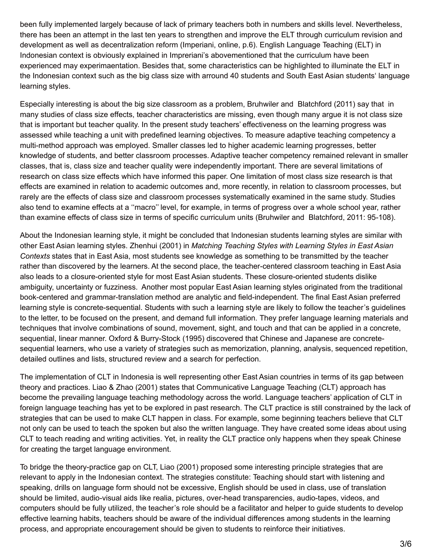been fully implemented largely because of lack of primary teachers both in numbers and skills level. Nevertheless, there has been an attempt in the last ten years to strengthen and improve the ELT through curriculum revision and development as well as decentralization reform (Imperiani, online, p.6). English Language Teaching (ELT) in Indonesian context is obviously explained in Impreriani's abovementioned that the curriculum have been experienced may experimaentation. Besides that, some characteristics can be highlighted to illuminate the ELT in the Indonesian context such as the big class size with arround 40 students and South East Asian students' language learning styles.

Especially interesting is about the big size classroom as a problem, Bruhwiler and Blatchford (2011) say that in many studies of class size effects, teacher characteristics are missing, even though many argue it is not class size that is important but teacher quality. In the present study teachers' effectiveness on the learning progress was assessed while teaching a unit with predefined learning objectives. To measure adaptive teaching competency a multi-method approach was employed. Smaller classes led to higher academic learning progresses, better knowledge of students, and better classroom processes. Adaptive teacher competency remained relevant in smaller classes, that is, class size and teacher quality were independently important. There are several limitations of research on class size effects which have informed this paper. One limitation of most class size research is that effects are examined in relation to academic outcomes and, more recently, in relation to classroom processes, but rarely are the effects of class size and classroom processes systematically examined in the same study. Studies also tend to examine effects at a ''macro'' level, for example, in terms of progress over a whole school year, rather than examine effects of class size in terms of specific curriculum units (Bruhwiler and Blatchford, 2011: 95-108).

About the Indonesian learning style, it might be concluded that Indonesian students learning styles are similar with other East Asian learning styles. Zhenhui (2001) in *Matching Teaching Styles with Learning Styles in East Asian Contexts* states that in East Asia, most students see knowledge as something to be transmitted by the teacher rather than discovered by the learners. At the second place, the teacher-centered classroom teaching in East Asia also leads to a closure-oriented style for most East Asian students. These closure-oriented students dislike ambiguity, uncertainty or fuzziness. Another most popular East Asian learning styles originated from the traditional book-centered and grammar-translation method are analytic and field-independent. The final East Asian preferred learning style is concrete-sequential. Students with such a learning style are likely to follow the teacher's guidelines to the letter, to be focused on the present, and demand full information. They prefer language learning materials and techniques that involve combinations of sound, movement, sight, and touch and that can be applied in a concrete, sequential, linear manner. Oxford & Burry-Stock (1995) discovered that Chinese and Japanese are concretesequential learners, who use a variety of strategies such as memorization, planning, analysis, sequenced repetition, detailed outlines and lists, structured review and a search for perfection.

The implementation of CLT in Indonesia is well representing other East Asian countries in terms of its gap between theory and practices. Liao & Zhao (2001) states that Communicative Language Teaching (CLT) approach has become the prevailing language teaching methodology across the world. Language teachers' application of CLT in foreign language teaching has yet to be explored in past research. The CLT practice is still constrained by the lack of strategies that can be used to make CLT happen in class. For example, some beginning teachers believe that CLT not only can be used to teach the spoken but also the written language. They have created some ideas about using CLT to teach reading and writing activities. Yet, in reality the CLT practice only happens when they speak Chinese for creating the target language environment.

To bridge the theory-practice gap on CLT, Liao (2001) proposed some interesting principle strategies that are relevant to apply in the Indonesian context. The strategies constitute: Teaching should start with listening and speaking, drills on language form should not be excessive, English should be used in class, use of translation should be limited, audio-visual aids like realia, pictures, over-head transparencies, audio-tapes, videos, and computers should be fully utilized, the teacher's role should be a facilitator and helper to guide students to develop effective learning habits, teachers should be aware of the individual differences among students in the learning process, and appropriate encouragement should be given to students to reinforce their initiatives.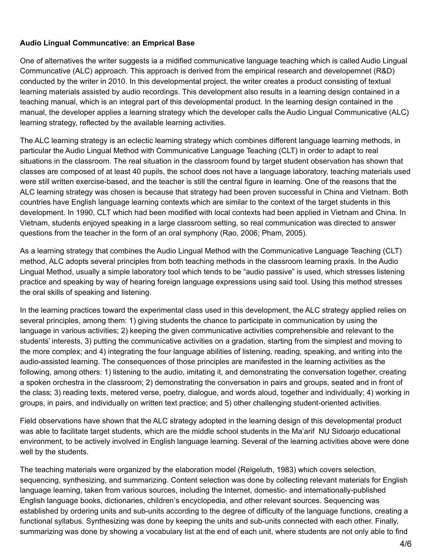## **Audio Lingual Communcative: an Emprical Base**

One of alternatives the writer suggests ia a midified communicative language teaching which is called Audio Lingual Communcative (ALC) approach. This approach is derived from the empirical research and developemnet (R&D) conducted by the writer in 2010. In this developmental project, the writer creates a product consisting of textual learning materials assisted by audio recordings. This development also results in a learning design contained in a teaching manual, which is an integral part of this developmental product. In the learning design contained in the manual, the developer applies a learning strategy which the developer calls the Audio Lingual Communicative (ALC) learning strategy, reflected by the available learning activities.

The ALC learning strategy is an eclectic learning strategy which combines different language learning methods, in particular the Audio Lingual Method with Communicative Language Teaching (CLT) in order to adapt to real situations in the classroom. The real situation in the classroom found by target student observation has shown that classes are composed of at least 40 pupils, the school does not have a language laboratory, teaching materials used were still written exercise-based, and the teacher is still the central figure in learning. One of the reasons that the ALC learning strategy was chosen is because that strategy had been proven successful in China and Vietnam. Both countries have English language learning contexts which are similar to the context of the target students in this development. In 1990, CLT which had been modified with local contexts had been applied in Vietnam and China. In Vietnam, students enjoyed speaking in a large classroom setting, so real communication was directed to answer questions from the teacher in the form of an oral symphony (Rao, 2006; Pham, 2005).

As a learning strategy that combines the Audio Lingual Method with the Communicative Language Teaching (CLT) method, ALC adopts several principles from both teaching methods in the classroom learning praxis. In the Audio Lingual Method, usually a simple laboratory tool which tends to be "audio passive" is used, which stresses listening practice and speaking by way of hearing foreign language expressions using said tool. Using this method stresses the oral skills of speaking and listening.

In the learning practices toward the experimental class used in this development, the ALC strategy applied relies on several principles, among them: 1) giving students the chance to participate in communication by using the language in various activities; 2) keeping the given communicative activities comprehensible and relevant to the students' interests, 3) putting the communicative activities on a gradation, starting from the simplest and moving to the more complex; and 4) integrating the four language abilities of listening, reading, speaking, and writing into the audio-assisted learning. The consequences of those principles are manifested in the learning activities as the following, among others: 1) listening to the audio, imitating it, and demonstrating the conversation together, creating a spoken orchestra in the classroom; 2) demonstrating the conversation in pairs and groups, seated and in front of the class; 3) reading texts, metered verse, poetry, dialogue, and words aloud, together and individually; 4) working in groups, in pairs, and individually on written text practice; and 5) other challenging student-oriented activities.

Field observations have shown that the ALC strategy adopted in the learning design of this developmental product was able to facilitate target students, which are the middle school students in the Ma'arif NU Sidoarjo educational environment, to be actively involved in English language learning. Several of the learning activities above were done well by the students.

The teaching materials were organized by the elaboration model (Reigeluth, 1983) which covers selection, sequencing, synthesizing, and summarizing. Content selection was done by collecting relevant materials for English language learning, taken from various sources, including the Internet, domestic- and internationally-published English language books, dictionaries, children's encyclopedia, and other relevant sources. Sequencing was established by ordering units and sub-units according to the degree of difficulty of the language functions, creating a functional syllabus. Synthesizing was done by keeping the units and sub-units connected with each other. Finally, summarizing was done by showing a vocabulary list at the end of each unit, where students are not only able to find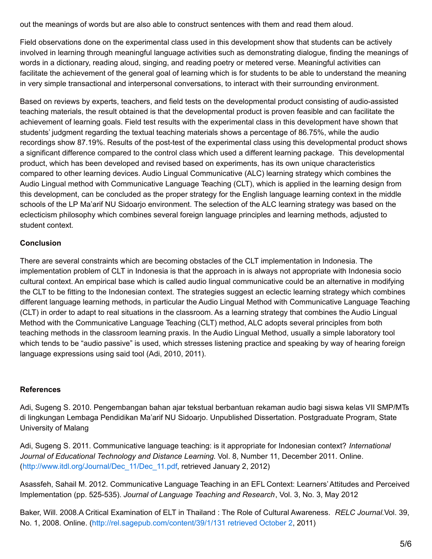out the meanings of words but are also able to construct sentences with them and read them aloud.

Field observations done on the experimental class used in this development show that students can be actively involved in learning through meaningful language activities such as demonstrating dialogue, finding the meanings of words in a dictionary, reading aloud, singing, and reading poetry or metered verse. Meaningful activities can facilitate the achievement of the general goal of learning which is for students to be able to understand the meaning in very simple transactional and interpersonal conversations, to interact with their surrounding environment.

Based on reviews by experts, teachers, and field tests on the developmental product consisting of audio-assisted teaching materials, the result obtained is that the developmental product is proven feasible and can facilitate the achievement of learning goals. Field test results with the experimental class in this development have shown that students' judgment regarding the textual teaching materials shows a percentage of 86.75%, while the audio recordings show 87.19%. Results of the post-test of the experimental class using this developmental product shows a significant difference compared to the control class which used a different learning package. This developmental product, which has been developed and revised based on experiments, has its own unique characteristics compared to other learning devices. Audio Lingual Communicative (ALC) learning strategy which combines the Audio Lingual method with Communicative Language Teaching (CLT), which is applied in the learning design from this development, can be concluded as the proper strategy for the English language learning context in the middle schools of the LP Ma'arif NU Sidoarjo environment. The selection of the ALC learning strategy was based on the eclecticism philosophy which combines several foreign language principles and learning methods, adjusted to student context.

### **Conclusion**

There are several constraints which are becoming obstacles of the CLT implementation in Indonesia. The implementation problem of CLT in Indonesia is that the approach in is always not appropriate with Indonesia socio cultural context. An empirical base which is called audio lingual communicative could be an alternative in modifying the CLT to be fitting to the Indonesian context. The strategies suggest an eclectic learning strategy which combines different language learning methods, in particular the Audio Lingual Method with Communicative Language Teaching (CLT) in order to adapt to real situations in the classroom. As a learning strategy that combines the Audio Lingual Method with the Communicative Language Teaching (CLT) method, ALC adopts several principles from both teaching methods in the classroom learning praxis. In the Audio Lingual Method, usually a simple laboratory tool which tends to be "audio passive" is used, which stresses listening practice and speaking by way of hearing foreign language expressions using said tool (Adi, 2010, 2011).

#### **References**

Adi, Sugeng S. 2010. Pengembangan bahan ajar tekstual berbantuan rekaman audio bagi siswa kelas VII SMP/MTs di lingkungan Lembaga Pendidikan Ma'arif NU Sidoarjo. Unpublished Dissertation. Postgraduate Program, State University of Malang

Adi, Sugeng S. 2011. Communicative language teaching: is it appropriate for Indonesian context? *International Journal of Educational Technology and Distance Learning*. Vol. 8, Number 11, December 2011. Online. ([http://www.itdl.org/Journal/Dec\\_11/Dec\\_11.pdf](http://www.itdl.org/Journal/Dec_11/Dec_11.pdf), retrieved January 2, 2012)

Asassfeh, Sahail M. 2012. Communicative Language Teaching in an EFL Context: Learners'Attitudes and Perceived Implementation (pp. 525-535). *Journal of Language Teaching and Research*, Vol. 3, No. 3, May 2012

Baker, Will. 2008.A Critical Examination of ELT in Thailand : The Role of Cultural Awareness. *RELC Journal.*Vol. 39, No. 1, 2008. Online. [\(http://rel.sagepub.com/content/39/1/131](http://rel.sagepub.com/content/39/1/131 retrieved October 2) retrieved October 2, 2011)